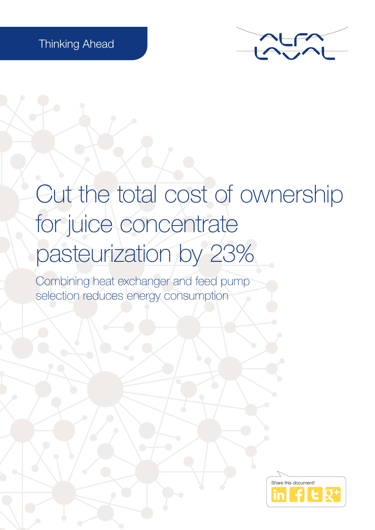

# Cut the total cost of ownership for juice concentrate pasteurization by 23%

Combining heat exchanger and feed pump selection reduces energy consumption

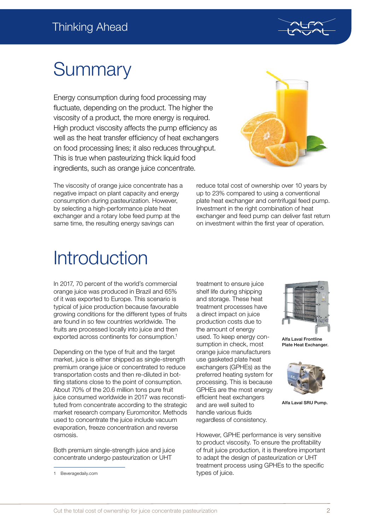

# **Summary**

Energy consumption during food processing may fluctuate, depending on the product. The higher the viscosity of a product, the more energy is required. High product viscosity affects the pump efficiency as well as the heat transfer efficiency of heat exchangers on food processing lines; it also reduces throughput. This is true when pasteurizing thick liquid food ingredients, such as orange juice concentrate.



The viscosity of orange juice concentrate has a negative impact on plant capacity and energy consumption during pasteurization. However, by selecting a high-performance plate heat exchanger and a rotary lobe feed pump at the same time, the resulting energy savings can

reduce total cost of ownership over 10 years by up to 23% compared to using a conventional plate heat exchanger and centrifugal feed pump. Investment in the right combination of heat exchanger and feed pump can deliver fast return on investment within the first year of operation.

## **Introduction**

In 2017, 70 percent of the world's commercial orange juice was produced in Brazil and 65% of it was exported to Europe. This scenario is typical of juice production because favourable growing conditions for the different types of fruits are found in so few countries worldwide. The fruits are processed locally into juice and then exported across continents for consumption.1

Depending on the type of fruit and the target market, juice is either shipped as single-strength premium orange juice or concentrated to reduce transportation costs and then re-diluted in bottling stations close to the point of consumption. About 70% of the 20.6 million tons pure fruit juice consumed worldwide in 2017 was reconstituted from concentrate according to the strategic market research company Euromonitor. Methods used to concentrate the juice include vacuum evaporation, freeze concentration and reverse osmosis.

Both premium single-strength juice and juice concentrate undergo pasteurization or UHT

and storage. These heat treatment processes have a direct impact on juice production costs due to the amount of energy used. To keep energy consumption in check, most orange juice manufacturers use gasketed plate heat exchangers (GPHEs) as the preferred heating system for processing. This is because GPHEs are the most energy efficient heat exchangers and are well suited to handle various fluids regardless of consistency.

treatment to ensure juice shelf life during shipping



Alfa Laval Frontline Plate Heat Exchanger.



Alfa Laval SRU Pump.

However, GPHE performance is very sensitive to product viscosity. To ensure the profitability of fruit juice production, it is therefore important to adapt the design of pasteurization or UHT treatment process using GPHEs to the specific types of juice.

<sup>1</sup> Beveragedaily.com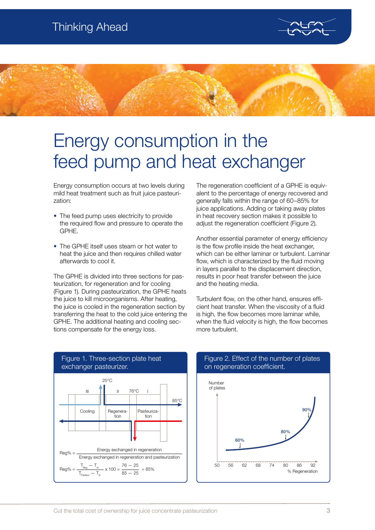



### Energy consumption in the feed pump and heat exchanger

Energy consumption occurs at two levels during mild heat treatment such as fruit juice pasteurization:

- The feed pump uses electricity to provide the required flow and pressure to operate the GPHE.
- The GPHE itself uses steam or hot water to heat the juice and then requires chilled water afterwards to cool it.

The GPHE is divided into three sections for pasteurization, for regeneration and for cooling (Figure 1). During pasteurization, the GPHE heats the juice to kill microorganisms. After heating, the juice is cooled in the regeneration section by transferring the heat to the cold juice entering the GPHE. The additional heating and cooling sections compensate for the energy loss.

The regeneration coefficient of a GPHE is equivalent to the percentage of energy recovered and generally falls within the range of 60–85% for juice applications. Adding or taking away plates in heat recovery section makes it possible to adjust the regeneration coefficient (Figure 2).

Another essential parameter of energy efficiency is the flow profile inside the heat exchanger, which can be either laminar or turbulent. Laminar flow, which is characterized by the fluid moving in layers parallel to the displacement direction, results in poor heat transfer between the juice and the heating media.

Turbulent flow, on the other hand, ensures efficient heat transfer. When the viscosity of a fluid is high, the flow becomes more laminar while. when the fluid velocity is high, the flow becomes more turbulent.



#### Figure 2. Effect of the number of plates on regeneration coefficient.

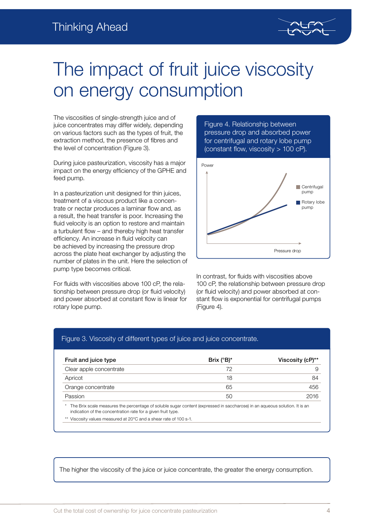

## The impact of fruit juice viscosity on energy consumption

The viscosities of single-strength juice and of juice concentrates may differ widely, depending on various factors such as the types of fruit, the extraction method, the presence of fibres and the level of concentration (Figure 3).

During juice pasteurization, viscosity has a major impact on the energy efficiency of the GPHE and feed pump.

In a pasteurization unit designed for thin juices, treatment of a viscous product like a concentrate or nectar produces a laminar flow and, as a result, the heat transfer is poor. Increasing the fluid velocity is an option to restore and maintain a turbulent flow – and thereby high heat transfer efficiency. An increase in fluid velocity can be achieved by increasing the pressure drop across the plate heat exchanger by adjusting the number of plates in the unit. Here the selection of pump type becomes critical.

For fluids with viscosities above 100 cP, the relationship between pressure drop (or fluid velocity) and power absorbed at constant flow is linear for rotary lope pump.





In contrast, for fluids with viscosities above 100 cP, the relationship between pressure drop (or fluid velocity) and power absorbed at constant flow is exponential for centrifugal pumps (Figure 4).

#### Figure 3. Viscosity of different types of juice and juice concentrate.

| Fruit and juice type    | Brix $(^{\circ}B)^*$ | Viscosity (cP)** |
|-------------------------|----------------------|------------------|
| Clear apple concentrate | 72                   | 9                |
| Apricot                 | 18                   | 84               |
| Orange concentrate      | 65                   | 456              |
| Passion                 | 50                   | 2016             |

The Brix scale measures the percentage of soluble sugar content (expressed in saccharose) in an aqueous solution. It is an indication of the concentration rate for a given fruit type.

\*\* Viscosity values measured at 20°C and a shear rate of 100 s-1.

The higher the viscosity of the juice or juice concentrate, the greater the energy consumption.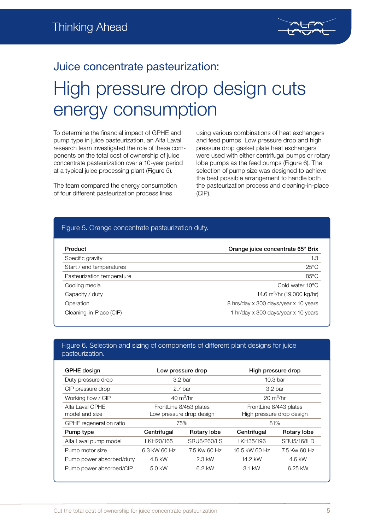

### Juice concentrate pasteurization: High pressure drop design cuts energy consumption

To determine the financial impact of GPHE and pump type in juice pasteurization, an Alfa Laval research team investigated the role of these components on the total cost of ownership of juice concentrate pasteurization over a 10-year period at a typical juice processing plant (Figure 5).

The team compared the energy consumption of four different pasteurization process lines

using various combinations of heat exchangers and feed pumps. Low pressure drop and high pressure drop gasket plate heat exchangers were used with either centrifugal pumps or rotary lobe pumps as the feed pumps (Figure 6). The selection of pump size was designed to achieve the best possible arrangement to handle both the pasteurization process and cleaning-in-place (CIP).

#### Figure 5. Orange concentrate pasteurization duty.

| Product                    | Orange juice concentrate 65° Brix      |  |  |
|----------------------------|----------------------------------------|--|--|
| Specific gravity           | 1.3                                    |  |  |
| Start / end temperatures   | $25^{\circ}$ C                         |  |  |
| Pasteurization temperature | $85^{\circ}$ C                         |  |  |
| Cooling media              | Cold water 10°C                        |  |  |
| Capacity / duty            | 14.6 m <sup>3</sup> /hr (19,000 kg/hr) |  |  |
| Operation                  | 8 hrs/day x 300 days/year x 10 years   |  |  |
| Cleaning-in-Place (CIP)    | 1 hr/day x 300 days/year x 10 years    |  |  |

#### Figure 6. Selection and sizing of components of different plant designs for juice pasteurization.

| <b>GPHE</b> design                |                                                    | Low pressure drop          | High pressure drop                                  |                   |  |
|-----------------------------------|----------------------------------------------------|----------------------------|-----------------------------------------------------|-------------------|--|
| Duty pressure drop                |                                                    | 3.2 <sub>bar</sub>         | 10.3 <sub>bar</sub>                                 |                   |  |
| CIP pressure drop                 |                                                    | 2.7 <sub>bar</sub>         | 3.2 <sub>bar</sub>                                  |                   |  |
| Working flow / CIP                |                                                    | $40 \text{ m}^3/\text{hr}$ | $20 \text{ m}^3/\text{hr}$                          |                   |  |
| Alfa Laval GPHE<br>model and size | FrontLine 8/453 plates<br>Low pressure drop design |                            | FrontLine 8/443 plates<br>High pressure drop design |                   |  |
| GPHE regeneration ratio           |                                                    | 75%                        | 81%                                                 |                   |  |
| Pump type                         | Centrifugal                                        | Rotary lobe                | Centrifugal                                         | Rotary lobe       |  |
| Alfa Laval pump model             | LKH20/165                                          | SRU6/260/LS                | LKH35/196                                           | <b>SRU5/168LD</b> |  |
| Pump motor size                   | 6.3 kW 60 Hz                                       | 7.5 Kw 60 Hz               | 16.5 kW 60 Hz                                       | 7.5 Kw 60 Hz      |  |
| Pump power absorbed/duty          | 4.8 kW                                             | 2.3 kW                     | 14.2 kW                                             | 4.6 kW            |  |
| Pump power absorbed/CIP           | 5.0 kW                                             | 6.2 kW                     | 3.1 kW                                              | 6.25 kW           |  |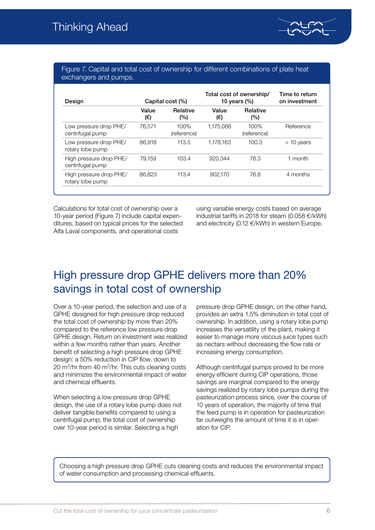

#### Figure 7. Capital and total cost of ownership for different combinations of plate heat exchangers and pumps.

| Design                                      | Capital cost (%) |                        | Total cost of ownership/<br>10 years $(\%)$ |                     | Time to return<br>on investment |
|---------------------------------------------|------------------|------------------------|---------------------------------------------|---------------------|---------------------------------|
|                                             | Value<br>(€)     | <b>Relative</b><br>(%) | Value<br>(€)                                | Relative<br>(%)     |                                 |
| Low pressure drop PHE/<br>centrifugal pump  | 76.571           | 100%<br>(reference)    | 1.175.088                                   | 100%<br>(reference) | Reference                       |
| Low pressure drop PHE/<br>rotary lobe pump  | 86.918           | 113.5                  | 1.178.163                                   | 100.3               | $>$ 10 years                    |
| High pressure drop PHE/<br>centrifugal pump | 79.159           | 103.4                  | 920.344                                     | 78.3                | 1 month                         |
| High pressure drop PHE/<br>rotary lobe pump | 86,823           | 113.4                  | 902.170                                     | 76.8                | 4 months                        |

Calculations for total cost of ownership over a 10-year period (Figure 7) include capital expenditures, based on typical prices for the selected Alfa Laval components, and operational costs

using variable energy costs based on average industrial tariffs in 2018 for steam (0.058 €/kWh) and electricity (0.12 €/kWh) in western Europe.

### High pressure drop GPHE delivers more than 20% savings in total cost of ownership

Over a 10-year period, the selection and use of a GPHE designed for high pressure drop reduced the total cost of ownership by more than 20% compared to the reference low pressure drop GPHE design. Return on investment was realized within a few months rather than years. Another benefit of selecting a high pressure drop GPHE design: a 50% reduction in CIP flow, down to 20  $\mathrm{m}^3$ /hr from 40  $\mathrm{m}^3$ /hr. This cuts cleaning costs and minimizes the environmental impact of water and chemical effluents.

When selecting a low pressure drop GPHE design, the use of a rotary lobe pump does not deliver tangible benefits compared to using a centrifugal pump; the total cost of ownership over 10-year period is similar. Selecting a high

pressure drop GPHE design, on the other hand, provides an extra 1.5% diminution in total cost of ownership. In addition, using a rotary lobe pump increases the versatility of the plant, making it easier to manage more viscous juice types such as nectars without decreasing the flow rate or increasing energy consumption.

Although centrifugal pumps proved to be more energy efficient during CIP operations, those savings are marginal compared to the energy savings realized by rotary lobe pumps during the pasteurization process since, over the course of 10 years of operation, the majority of time that the feed pump is in operation for pasteurization far outweighs the amount of time it is in operation for CIP.

Choosing a high pressure drop GPHE cuts cleaning costs and reduces the environmental impact of water consumption and processing chemical effluents.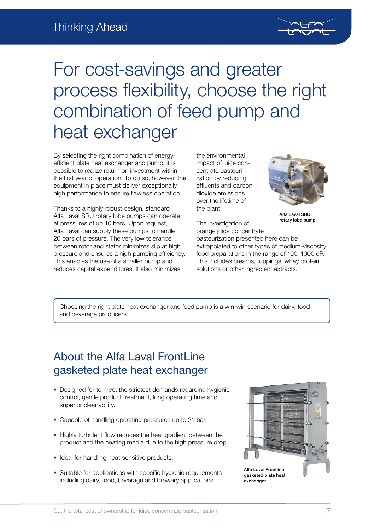

# For cost-savings and greater process flexibility, choose the right combination of feed pump and heat exchanger

By selecting the right combination of energyefficient plate heat exchanger and pump, it is possible to realize return on investment within the first year of operation. To do so, however, the equipment in place must deliver exceptionally high performance to ensure flawless operation.

Thanks to a highly robust design, standard Alfa Laval SRU rotary lobe pumps can operate at pressures of up 10 bars. Upon request, Alfa Laval can supply these pumps to handle 20 bars of pressure. The very low tolerance between rotor and stator minimizes slip at high pressure and ensures a high pumping efficiency. This enables the use of a smaller pump and reduces capital expenditures. It also minimizes

the environmental impact of juice concentrate pasteurization by reducing effluents and carbon dioxide emissions over the lifetime of the plant.



pasteurization presented here can be extrapolated to other types of medium-viscosity food preparations in the range of 100–1000 cP. This includes creams, toppings, whey protein solutions or other ingredient extracts.

Alfa Laval SRU rotary lobe pump.

Choosing the right plate heat exchanger and feed pump is a win-win scenario for dairy, food and beverage producers.

### About the Alfa Laval FrontLine gasketed plate heat exchanger

- Designed for to meet the strictest demands regarding hygienic control, gentle product treatment, long operating time and superior cleanability.
- Capable of handling operating pressures up to 21 bar.
- Highly turbulent flow reduces the heat gradient between the product and the heating media due to the high pressure drop.
- Ideal for handling heat-sensitive products.
- Suitable for applications with specific hygienic requirements including dairy, food, beverage and brewery applications.